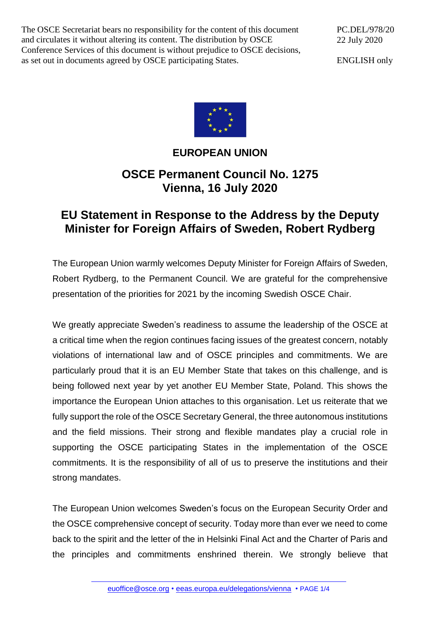The OSCE Secretariat bears no responsibility for the content of this document and circulates it without altering its content. The distribution by OSCE Conference Services of this document is without prejudice to OSCE decisions, as set out in documents agreed by OSCE participating States.

PC.DEL/978/20 22 July 2020

ENGLISH only



## **EUROPEAN UNION**

## **OSCE Permanent Council No. 1275 Vienna, 16 July 2020**

## **EU Statement in Response to the Address by the Deputy Minister for Foreign Affairs of Sweden, Robert Rydberg**

The European Union warmly welcomes Deputy Minister for Foreign Affairs of Sweden, Robert Rydberg, to the Permanent Council. We are grateful for the comprehensive presentation of the priorities for 2021 by the incoming Swedish OSCE Chair.

We greatly appreciate Sweden's readiness to assume the leadership of the OSCE at a critical time when the region continues facing issues of the greatest concern, notably violations of international law and of OSCE principles and commitments. We are particularly proud that it is an EU Member State that takes on this challenge, and is being followed next year by yet another EU Member State, Poland. This shows the importance the European Union attaches to this organisation. Let us reiterate that we fully support the role of the OSCE Secretary General, the three autonomous institutions and the field missions. Their strong and flexible mandates play a crucial role in supporting the OSCE participating States in the implementation of the OSCE commitments. It is the responsibility of all of us to preserve the institutions and their strong mandates.

The European Union welcomes Sweden's focus on the European Security Order and the OSCE comprehensive concept of security. Today more than ever we need to come back to the spirit and the letter of the in Helsinki Final Act and the Charter of Paris and the principles and commitments enshrined therein. We strongly believe that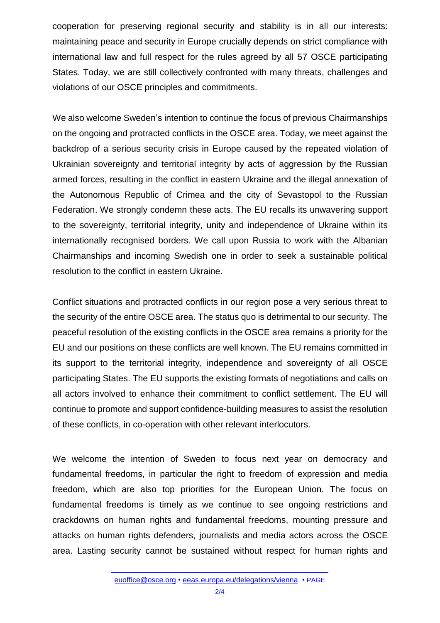cooperation for preserving regional security and stability is in all our interests: maintaining peace and security in Europe crucially depends on strict compliance with international law and full respect for the rules agreed by all 57 OSCE participating States. Today, we are still collectively confronted with many threats, challenges and violations of our OSCE principles and commitments.

We also welcome Sweden's intention to continue the focus of previous Chairmanships on the ongoing and protracted conflicts in the OSCE area. Today, we meet against the backdrop of a serious security crisis in Europe caused by the repeated violation of Ukrainian sovereignty and territorial integrity by acts of aggression by the Russian armed forces, resulting in the conflict in eastern Ukraine and the illegal annexation of the Autonomous Republic of Crimea and the city of Sevastopol to the Russian Federation. We strongly condemn these acts. The EU recalls its unwavering support to the sovereignty, territorial integrity, unity and independence of Ukraine within its internationally recognised borders. We call upon Russia to work with the Albanian Chairmanships and incoming Swedish one in order to seek a sustainable political resolution to the conflict in eastern Ukraine.

Conflict situations and protracted conflicts in our region pose a very serious threat to the security of the entire OSCE area. The status quo is detrimental to our security. The peaceful resolution of the existing conflicts in the OSCE area remains a priority for the EU and our positions on these conflicts are well known. The EU remains committed in its support to the territorial integrity, independence and sovereignty of all OSCE participating States. The EU supports the existing formats of negotiations and calls on all actors involved to enhance their commitment to conflict settlement. The EU will continue to promote and support confidence-building measures to assist the resolution of these conflicts, in co-operation with other relevant interlocutors.

We welcome the intention of Sweden to focus next year on democracy and fundamental freedoms, in particular the right to freedom of expression and media freedom, which are also top priorities for the European Union. The focus on fundamental freedoms is timely as we continue to see ongoing restrictions and crackdowns on human rights and fundamental freedoms, mounting pressure and attacks on human rights defenders, journalists and media actors across the OSCE area. Lasting security cannot be sustained without respect for human rights and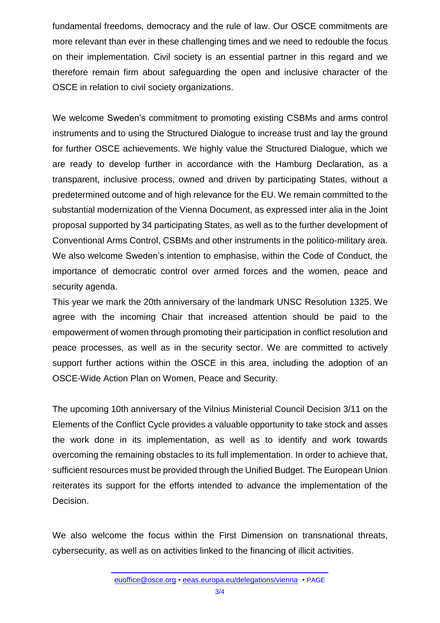fundamental freedoms, democracy and the rule of law. Our OSCE commitments are more relevant than ever in these challenging times and we need to redouble the focus on their implementation. Civil society is an essential partner in this regard and we therefore remain firm about safeguarding the open and inclusive character of the OSCE in relation to civil society organizations.

We welcome Sweden's commitment to promoting existing CSBMs and arms control instruments and to using the Structured Dialogue to increase trust and lay the ground for further OSCE achievements. We highly value the Structured Dialogue, which we are ready to develop further in accordance with the Hamburg Declaration, as a transparent, inclusive process, owned and driven by participating States, without a predetermined outcome and of high relevance for the EU. We remain committed to the substantial modernization of the Vienna Document, as expressed inter alia in the Joint proposal supported by 34 participating States, as well as to the further development of Conventional Arms Control, CSBMs and other instruments in the politico-military area. We also welcome Sweden's intention to emphasise, within the Code of Conduct, the importance of democratic control over armed forces and the women, peace and security agenda.

This year we mark the 20th anniversary of the landmark UNSC Resolution 1325. We agree with the incoming Chair that increased attention should be paid to the empowerment of women through promoting their participation in conflict resolution and peace processes, as well as in the security sector. We are committed to actively support further actions within the OSCE in this area, including the adoption of an OSCE-Wide Action Plan on Women, Peace and Security.

The upcoming 10th anniversary of the Vilnius Ministerial Council Decision 3/11 on the Elements of the Conflict Cycle provides a valuable opportunity to take stock and asses the work done in its implementation, as well as to identify and work towards overcoming the remaining obstacles to its full implementation. In order to achieve that, sufficient resources must be provided through the Unified Budget. The European Union reiterates its support for the efforts intended to advance the implementation of the Decision.

We also welcome the focus within the First Dimension on transnational threats, cybersecurity, as well as on activities linked to the financing of illicit activities.